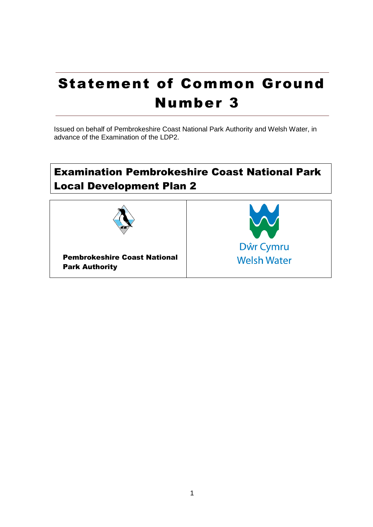# Statement of Common Ground Number 3

Issued on behalf of Pembrokeshire Coast National Park Authority and Welsh Water, in advance of the Examination of the LDP2.

# Examination Pembrokeshire Coast National Park Local Development Plan 2

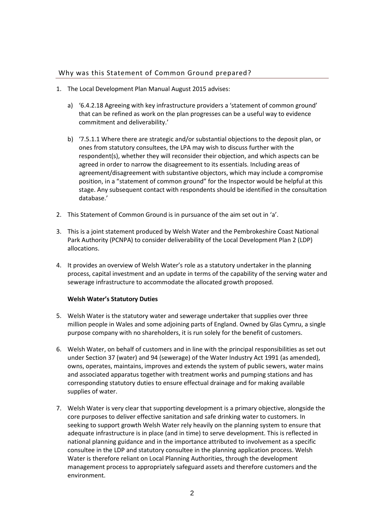## Why was this Statement of Common Ground prepared?

- 1. The Local Development Plan Manual August 2015 advises:
	- a) '6.4.2.18 Agreeing with key infrastructure providers a 'statement of common ground' that can be refined as work on the plan progresses can be a useful way to evidence commitment and deliverability.'
	- b) '7.5.1.1 Where there are strategic and/or substantial objections to the deposit plan, or ones from statutory consultees, the LPA may wish to discuss further with the respondent(s), whether they will reconsider their objection, and which aspects can be agreed in order to narrow the disagreement to its essentials. Including areas of agreement/disagreement with substantive objectors, which may include a compromise position, in a "statement of common ground" for the Inspector would be helpful at this stage. Any subsequent contact with respondents should be identified in the consultation database.'
- 2. This Statement of Common Ground is in pursuance of the aim set out in 'a'.
- 3. This is a joint statement produced by Welsh Water and the Pembrokeshire Coast National Park Authority (PCNPA) to consider deliverability of the Local Development Plan 2 (LDP) allocations.
- 4. It provides an overview of Welsh Water's role as a statutory undertaker in the planning process, capital investment and an update in terms of the capability of the serving water and sewerage infrastructure to accommodate the allocated growth proposed.

#### **Welsh Water's Statutory Duties**

- 5. Welsh Water is the statutory water and sewerage undertaker that supplies over three million people in Wales and some adjoining parts of England. Owned by Glas Cymru, a single purpose company with no shareholders, it is run solely for the benefit of customers.
- 6. Welsh Water, on behalf of customers and in line with the principal responsibilities as set out under Section 37 (water) and 94 (sewerage) of the Water Industry Act 1991 (as amended), owns, operates, maintains, improves and extends the system of public sewers, water mains and associated apparatus together with treatment works and pumping stations and has corresponding statutory duties to ensure effectual drainage and for making available supplies of water.
- 7. Welsh Water is very clear that supporting development is a primary objective, alongside the core purposes to deliver effective sanitation and safe drinking water to customers. In seeking to support growth Welsh Water rely heavily on the planning system to ensure that adequate infrastructure is in place (and in time) to serve development. This is reflected in national planning guidance and in the importance attributed to involvement as a specific consultee in the LDP and statutory consultee in the planning application process. Welsh Water is therefore reliant on Local Planning Authorities, through the development management process to appropriately safeguard assets and therefore customers and the environment.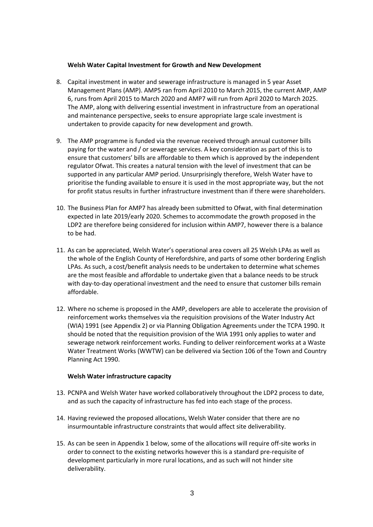#### **Welsh Water Capital Investment for Growth and New Development**

- 8. Capital investment in water and sewerage infrastructure is managed in 5 year Asset Management Plans (AMP). AMP5 ran from April 2010 to March 2015, the current AMP, AMP 6, runs from April 2015 to March 2020 and AMP7 will run from April 2020 to March 2025. The AMP, along with delivering essential investment in infrastructure from an operational and maintenance perspective, seeks to ensure appropriate large scale investment is undertaken to provide capacity for new development and growth.
- 9. The AMP programme is funded via the revenue received through annual customer bills paying for the water and / or sewerage services. A key consideration as part of this is to ensure that customers' bills are affordable to them which is approved by the independent regulator Ofwat. This creates a natural tension with the level of investment that can be supported in any particular AMP period. Unsurprisingly therefore, Welsh Water have to prioritise the funding available to ensure it is used in the most appropriate way, but the not for profit status results in further infrastructure investment than if there were shareholders.
- 10. The Business Plan for AMP7 has already been submitted to Ofwat, with final determination expected in late 2019/early 2020. Schemes to accommodate the growth proposed in the LDP2 are therefore being considered for inclusion within AMP7, however there is a balance to be had.
- 11. As can be appreciated, Welsh Water's operational area covers all 25 Welsh LPAs as well as the whole of the English County of Herefordshire, and parts of some other bordering English LPAs. As such, a cost/benefit analysis needs to be undertaken to determine what schemes are the most feasible and affordable to undertake given that a balance needs to be struck with day-to-day operational investment and the need to ensure that customer bills remain affordable.
- 12. Where no scheme is proposed in the AMP, developers are able to accelerate the provision of reinforcement works themselves via the requisition provisions of the Water Industry Act (WIA) 1991 (see Appendix 2) or via Planning Obligation Agreements under the TCPA 1990. It should be noted that the requisition provision of the WIA 1991 only applies to water and sewerage network reinforcement works. Funding to deliver reinforcement works at a Waste Water Treatment Works (WWTW) can be delivered via Section 106 of the Town and Country Planning Act 1990.

#### **Welsh Water infrastructure capacity**

- 13. PCNPA and Welsh Water have worked collaboratively throughout the LDP2 process to date, and as such the capacity of infrastructure has fed into each stage of the process.
- 14. Having reviewed the proposed allocations, Welsh Water consider that there are no insurmountable infrastructure constraints that would affect site deliverability.
- 15. As can be seen in Appendix 1 below, some of the allocations will require off-site works in order to connect to the existing networks however this is a standard pre-requisite of development particularly in more rural locations, and as such will not hinder site deliverability.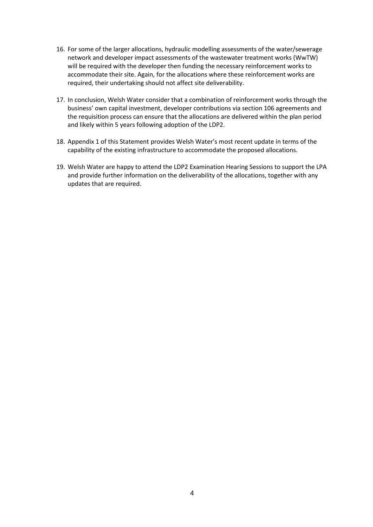- 16. For some of the larger allocations, hydraulic modelling assessments of the water/sewerage network and developer impact assessments of the wastewater treatment works (WwTW) will be required with the developer then funding the necessary reinforcement works to accommodate their site. Again, for the allocations where these reinforcement works are required, their undertaking should not affect site deliverability.
- 17. In conclusion, Welsh Water consider that a combination of reinforcement works through the business' own capital investment, developer contributions via section 106 agreements and the requisition process can ensure that the allocations are delivered within the plan period and likely within 5 years following adoption of the LDP2.
- 18. Appendix 1 of this Statement provides Welsh Water's most recent update in terms of the capability of the existing infrastructure to accommodate the proposed allocations.
- 19. Welsh Water are happy to attend the LDP2 Examination Hearing Sessions to support the LPA and provide further information on the deliverability of the allocations, together with any updates that are required.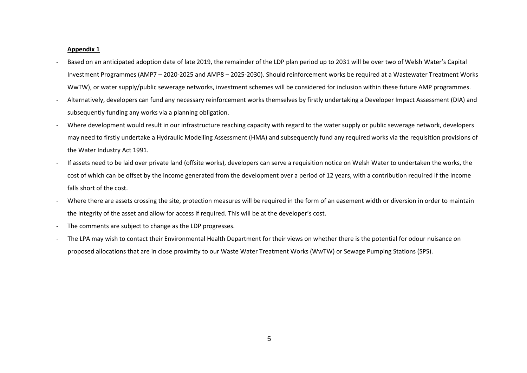#### **Appendix 1**

- Based on an anticipated adoption date of late 2019, the remainder of the LDP plan period up to 2031 will be over two of Welsh Water's Capital Investment Programmes (AMP7 – 2020-2025 and AMP8 – 2025-2030). Should reinforcement works be required at a Wastewater Treatment Works WwTW), or water supply/public sewerage networks, investment schemes will be considered for inclusion within these future AMP programmes.
- Alternatively, developers can fund any necessary reinforcement works themselves by firstly undertaking a Developer Impact Assessment (DIA) and subsequently funding any works via a planning obligation.
- Where development would result in our infrastructure reaching capacity with regard to the water supply or public sewerage network, developers may need to firstly undertake a Hydraulic Modelling Assessment (HMA) and subsequently fund any required works via the requisition provisions of the Water Industry Act 1991.
- If assets need to be laid over private land (offsite works), developers can serve a requisition notice on Welsh Water to undertaken the works, the cost of which can be offset by the income generated from the development over a period of 12 years, with a contribution required if the income falls short of the cost.
- Where there are assets crossing the site, protection measures will be required in the form of an easement width or diversion in order to maintain the integrity of the asset and allow for access if required. This will be at the developer's cost.
- The comments are subject to change as the LDP progresses.
- The LPA may wish to contact their Environmental Health Department for their views on whether there is the potential for odour nuisance on proposed allocations that are in close proximity to our Waste Water Treatment Works (WwTW) or Sewage Pumping Stations (SPS).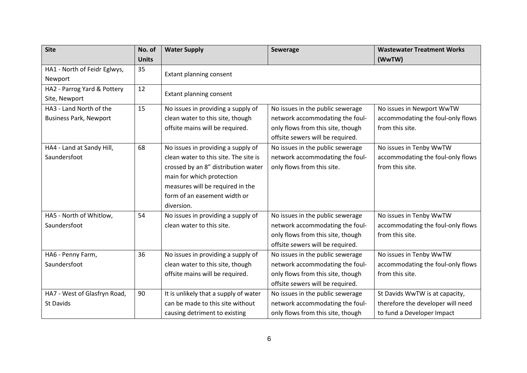| <b>Site</b>                   | No. of       | <b>Water Supply</b>                   | Sewerage                          | <b>Wastewater Treatment Works</b> |
|-------------------------------|--------------|---------------------------------------|-----------------------------------|-----------------------------------|
|                               | <b>Units</b> |                                       |                                   | (WwTW)                            |
| HA1 - North of Feidr Eglwys,  | 35           | Extant planning consent               |                                   |                                   |
| Newport                       |              |                                       |                                   |                                   |
| HA2 - Parrog Yard & Pottery   | 12           | Extant planning consent               |                                   |                                   |
| Site, Newport                 |              |                                       |                                   |                                   |
| HA3 - Land North of the       | 15           | No issues in providing a supply of    | No issues in the public sewerage  | No issues in Newport WwTW         |
| <b>Business Park, Newport</b> |              | clean water to this site, though      | network accommodating the foul-   | accommodating the foul-only flows |
|                               |              | offsite mains will be required.       | only flows from this site, though | from this site.                   |
|                               |              |                                       | offsite sewers will be required.  |                                   |
| HA4 - Land at Sandy Hill,     | 68           | No issues in providing a supply of    | No issues in the public sewerage  | No issues in Tenby WwTW           |
| Saundersfoot                  |              | clean water to this site. The site is | network accommodating the foul-   | accommodating the foul-only flows |
|                               |              | crossed by an 8" distribution water   | only flows from this site.        | from this site.                   |
|                               |              | main for which protection             |                                   |                                   |
|                               |              | measures will be required in the      |                                   |                                   |
|                               |              | form of an easement width or          |                                   |                                   |
|                               |              | diversion.                            |                                   |                                   |
| HA5 - North of Whitlow,       | 54           | No issues in providing a supply of    | No issues in the public sewerage  | No issues in Tenby WwTW           |
| Saundersfoot                  |              | clean water to this site.             | network accommodating the foul-   | accommodating the foul-only flows |
|                               |              |                                       | only flows from this site, though | from this site.                   |
|                               |              |                                       | offsite sewers will be required.  |                                   |
| HA6 - Penny Farm,             | 36           | No issues in providing a supply of    | No issues in the public sewerage  | No issues in Tenby WwTW           |
| Saundersfoot                  |              | clean water to this site, though      | network accommodating the foul-   | accommodating the foul-only flows |
|                               |              | offsite mains will be required.       | only flows from this site, though | from this site.                   |
|                               |              |                                       | offsite sewers will be required.  |                                   |
| HA7 - West of Glasfryn Road,  | 90           | It is unlikely that a supply of water | No issues in the public sewerage  | St Davids WwTW is at capacity,    |
| <b>St Davids</b>              |              | can be made to this site without      | network accommodating the foul-   | therefore the developer will need |
|                               |              | causing detriment to existing         | only flows from this site, though | to fund a Developer Impact        |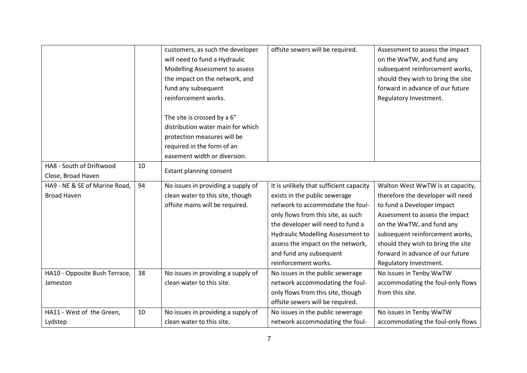|                               |    | customers, as such the developer   | offsite sewers will be required.         | Assessment to assess the impact    |
|-------------------------------|----|------------------------------------|------------------------------------------|------------------------------------|
|                               |    |                                    |                                          |                                    |
|                               |    | will need to fund a Hydraulic      |                                          | on the WwTW, and fund any          |
|                               |    | Modelling Assessment to assess     |                                          | subsequent reinforcement works,    |
|                               |    | the impact on the network, and     |                                          | should they wish to bring the site |
|                               |    | fund any subsequent                |                                          | forward in advance of our future   |
|                               |    | reinforcement works.               |                                          | Regulatory Investment.             |
|                               |    |                                    |                                          |                                    |
|                               |    | The site is crossed by a 6"        |                                          |                                    |
|                               |    | distribution water main for which  |                                          |                                    |
|                               |    | protection measures will be        |                                          |                                    |
|                               |    | required in the form of an         |                                          |                                    |
|                               |    | easement width or diversion.       |                                          |                                    |
| HA8 - South of Driftwood      | 10 |                                    |                                          |                                    |
| Close, Broad Haven            |    | Extant planning consent            |                                          |                                    |
| HA9 - NE & SE of Marine Road, | 94 | No issues in providing a supply of | It is unlikely that sufficient capacity  | Walton West WwTW is at capacity,   |
| <b>Broad Haven</b>            |    | clean water to this site, though   | exists in the public sewerage            | therefore the developer will need  |
|                               |    | offsite mains will be required.    | network to accommodate the foul-         | to fund a Developer Impact         |
|                               |    |                                    | only flows from this site, as such       | Assessment to assess the impact    |
|                               |    |                                    | the developer will need to fund a        | on the WwTW, and fund any          |
|                               |    |                                    | <b>Hydraulic Modelling Assessment to</b> | subsequent reinforcement works,    |
|                               |    |                                    | assess the impact on the network,        | should they wish to bring the site |
|                               |    |                                    | and fund any subsequent                  | forward in advance of our future   |
|                               |    |                                    | reinforcement works.                     | Regulatory Investment.             |
| HA10 - Opposite Bush Terrace, | 38 | No issues in providing a supply of | No issues in the public sewerage         | No issues in Tenby WwTW            |
| Jameston                      |    | clean water to this site.          | network accommodating the foul-          | accommodating the foul-only flows  |
|                               |    |                                    | only flows from this site, though        | from this site.                    |
|                               |    |                                    | offsite sewers will be required.         |                                    |
| HA11 - West of the Green,     | 10 | No issues in providing a supply of | No issues in the public sewerage         | No issues in Tenby WwTW            |
| Lydstep                       |    | clean water to this site.          | network accommodating the foul-          | accommodating the foul-only flows  |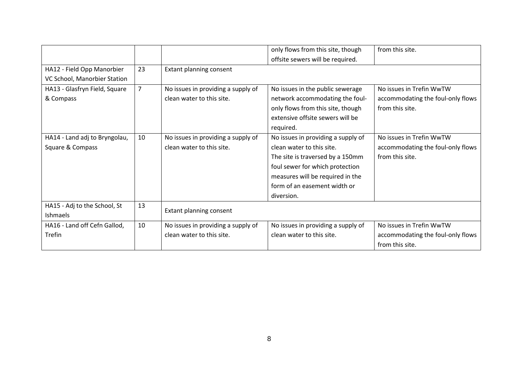|                               |                |                                    | only flows from this site, though  | from this site.                   |
|-------------------------------|----------------|------------------------------------|------------------------------------|-----------------------------------|
|                               |                |                                    | offsite sewers will be required.   |                                   |
| HA12 - Field Opp Manorbier    | 23             | Extant planning consent            |                                    |                                   |
| VC School, Manorbier Station  |                |                                    |                                    |                                   |
| HA13 - Glasfryn Field, Square | $\overline{7}$ | No issues in providing a supply of | No issues in the public sewerage   | No issues in Trefin WwTW          |
| & Compass                     |                | clean water to this site.          | network accommodating the foul-    | accommodating the foul-only flows |
|                               |                |                                    | only flows from this site, though  | from this site.                   |
|                               |                |                                    | extensive offsite sewers will be   |                                   |
|                               |                |                                    | required.                          |                                   |
| HA14 - Land adj to Bryngolau, | 10             | No issues in providing a supply of | No issues in providing a supply of | No issues in Trefin WwTW          |
| Square & Compass              |                | clean water to this site.          | clean water to this site.          | accommodating the foul-only flows |
|                               |                |                                    | The site is traversed by a 150mm   | from this site.                   |
|                               |                |                                    | foul sewer for which protection    |                                   |
|                               |                |                                    | measures will be required in the   |                                   |
|                               |                |                                    | form of an easement width or       |                                   |
|                               |                |                                    | diversion.                         |                                   |
| HA15 - Adj to the School, St  | 13             | Extant planning consent            |                                    |                                   |
| <b>Ishmaels</b>               |                |                                    |                                    |                                   |
| HA16 - Land off Cefn Gallod,  | 10             | No issues in providing a supply of | No issues in providing a supply of | No issues in Trefin WwTW          |
| Trefin                        |                | clean water to this site.          | clean water to this site.          | accommodating the foul-only flows |
|                               |                |                                    |                                    | from this site.                   |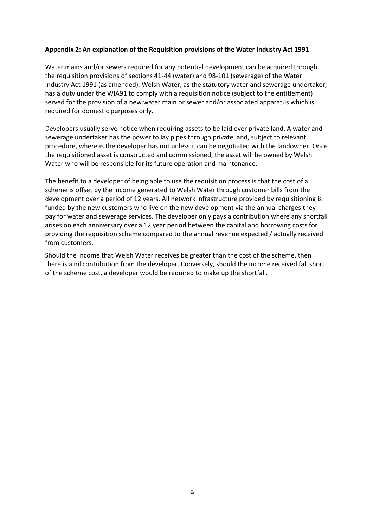### **Appendix 2: An explanation of the Requisition provisions of the Water Industry Act 1991**

Water mains and/or sewers required for any potential development can be acquired through the requisition provisions of sections 41-44 (water) and 98-101 (sewerage) of the Water Industry Act 1991 (as amended). Welsh Water, as the statutory water and sewerage undertaker, has a duty under the WIA91 to comply with a requisition notice (subject to the entitlement) served for the provision of a new water main or sewer and/or associated apparatus which is required for domestic purposes only.

Developers usually serve notice when requiring assets to be laid over private land. A water and sewerage undertaker has the power to lay pipes through private land, subject to relevant procedure, whereas the developer has not unless it can be negotiated with the landowner. Once the requisitioned asset is constructed and commissioned, the asset will be owned by Welsh Water who will be responsible for its future operation and maintenance.

The benefit to a developer of being able to use the requisition process is that the cost of a scheme is offset by the income generated to Welsh Water through customer bills from the development over a period of 12 years. All network infrastructure provided by requisitioning is funded by the new customers who live on the new development via the annual charges they pay for water and sewerage services. The developer only pays a contribution where any shortfall arises on each anniversary over a 12 year period between the capital and borrowing costs for providing the requisition scheme compared to the annual revenue expected / actually received from customers.

Should the income that Welsh Water receives be greater than the cost of the scheme, then there is a nil contribution from the developer. Conversely, should the income received fall short of the scheme cost, a developer would be required to make up the shortfall.